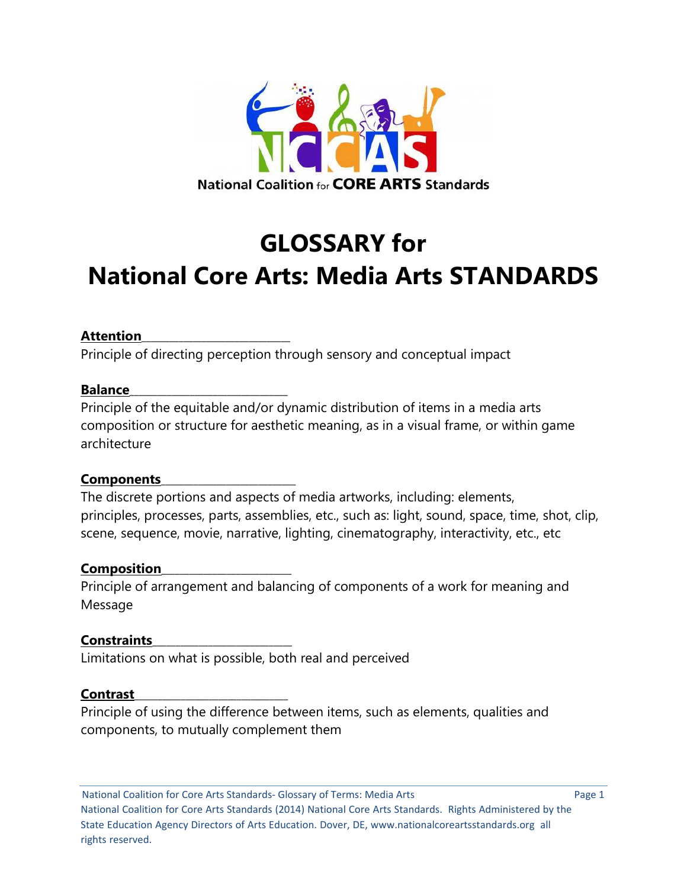

# **GLOSSARY for National Core Arts: Media Arts STANDARDS**

#### **Attention**\_\_\_\_\_\_\_\_\_\_\_\_\_\_\_\_\_\_\_\_\_\_\_\_\_\_\_\_\_\_\_\_

Principle of directing perception through sensory and conceptual impact

#### **Balance**

Principle of the equitable and/or dynamic distribution of items in a media arts composition or structure for aesthetic meaning, as in a visual frame, or within game architecture

#### **Components**\_\_\_\_\_\_\_\_\_\_\_\_\_\_\_\_\_\_\_\_\_\_\_\_\_\_\_\_\_

The discrete portions and aspects of media artworks, including: elements, principles, processes, parts, assemblies, etc., such as: light, sound, space, time, shot, clip, scene, sequence, movie, narrative, lighting, cinematography, interactivity, etc., etc

#### **Composition**\_\_\_\_\_\_\_\_\_\_\_\_\_\_\_\_\_\_\_\_\_\_\_\_\_\_\_\_

Principle of arrangement and balancing of components of a work for meaning and Message

#### **Constraints**\_\_\_\_\_\_\_\_\_\_\_\_\_\_\_\_\_\_\_\_\_\_\_\_\_\_\_\_\_\_

Limitations on what is possible, both real and perceived

#### **Contrast**\_\_\_\_\_\_\_\_\_\_\_\_\_\_\_\_\_\_\_\_\_\_\_\_\_\_\_\_\_\_\_\_\_

Principle of using the difference between items, such as elements, qualities and components, to mutually complement them

National Coalition for Core Arts Standards- Glossary of Terms: Media Arts **Page 1** Page 1 National Coalition for Core Arts Standards (2014) National Core Arts Standards. Rights Administered by the State Education Agency Directors of Arts Education. Dover, DE, www.nationalcoreartsstandards.org all rights reserved.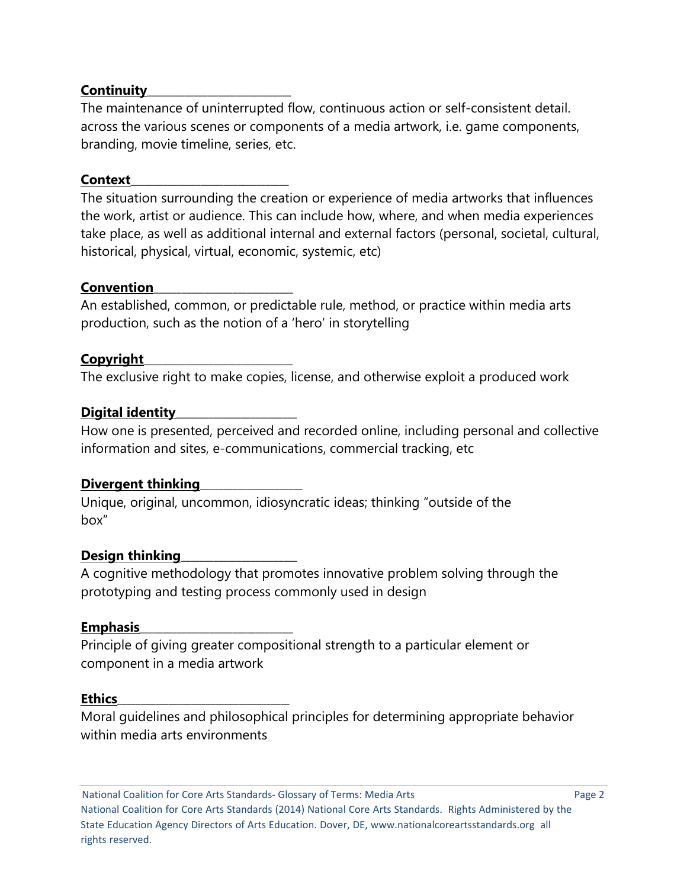## **Continuity**\_\_\_\_\_\_\_\_\_\_\_\_\_\_\_\_\_\_\_\_\_\_\_\_\_\_\_\_\_\_\_

The maintenance of uninterrupted flow, continuous action or self-consistent detail. across the various scenes or components of a media artwork, i.e. game components, branding, movie timeline, series, etc.

#### **Context**\_\_\_\_\_\_\_\_\_\_\_\_\_\_\_\_\_\_\_\_\_\_\_\_\_\_\_\_\_\_\_\_\_\_

The situation surrounding the creation or experience of media artworks that influences the work, artist or audience. This can include how, where, and when media experiences take place, as well as additional internal and external factors (personal, societal, cultural, historical, physical, virtual, economic, systemic, etc)

#### **Convention**\_\_\_\_\_\_\_\_\_\_\_\_\_\_\_\_\_\_\_\_\_\_\_\_\_\_\_\_\_\_

An established, common, or predictable rule, method, or practice within media arts production, such as the notion of a 'hero' in storytelling

### **Copyright**\_\_\_\_\_\_\_\_\_\_\_\_\_\_\_\_\_\_\_\_\_\_\_\_\_\_\_\_\_\_\_\_

The exclusive right to make copies, license, and otherwise exploit a produced work

### **Digital identity**\_\_\_\_\_\_\_\_\_\_\_\_\_\_\_\_\_\_\_\_\_\_\_\_\_\_

How one is presented, perceived and recorded online, including personal and collective information and sites, e-communications, commercial tracking, etc

#### Divergent thinking

Unique, original, uncommon, idiosyncratic ideas; thinking "outside of the box"

#### **Design thinking**\_\_\_\_\_\_\_\_\_\_\_\_\_\_\_\_\_\_\_\_\_\_\_\_\_

A cognitive methodology that promotes innovative problem solving through the prototyping and testing process commonly used in design

#### **Emphasis**\_\_\_\_\_\_\_\_\_\_\_\_\_\_\_\_\_\_\_\_\_\_\_\_\_\_\_\_\_\_\_\_\_

Principle of giving greater compositional strength to a particular element or component in a media artwork

#### **Ethics**\_\_\_\_\_\_\_\_\_\_\_\_\_\_\_\_\_\_\_\_\_\_\_\_\_\_\_\_\_\_\_\_\_\_\_\_\_

Moral guidelines and philosophical principles for determining appropriate behavior within media arts environments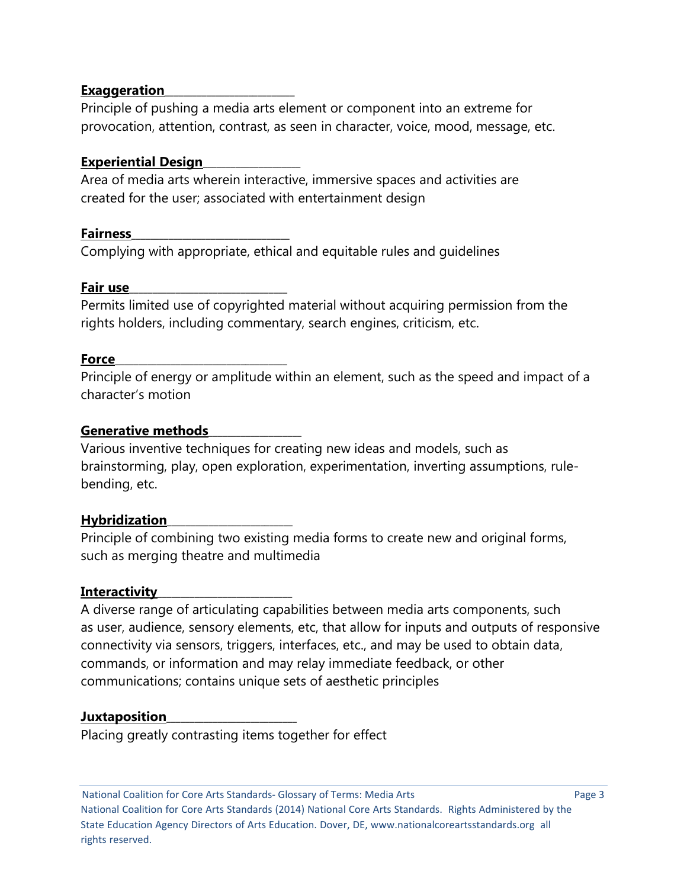## **Exaggeration**\_\_\_\_\_\_\_\_\_\_\_\_\_\_\_\_\_\_\_\_\_\_\_\_\_\_\_\_

Principle of pushing a media arts element or component into an extreme for provocation, attention, contrast, as seen in character, voice, mood, message, etc.

## **Experiential Design**\_\_\_\_\_\_\_\_\_\_\_\_\_\_\_\_\_\_\_\_\_

Area of media arts wherein interactive, immersive spaces and activities are created for the user; associated with entertainment design

### **Fairness**\_\_\_\_\_\_\_\_\_\_\_\_\_\_\_\_\_\_\_\_\_\_\_\_\_\_\_\_\_\_\_\_\_\_

Complying with appropriate, ethical and equitable rules and guidelines

### **Fair use**\_\_\_\_\_\_\_\_\_\_\_\_\_\_\_\_\_\_\_\_\_\_\_\_\_\_\_\_\_\_\_\_\_\_

Permits limited use of copyrighted material without acquiring permission from the rights holders, including commentary, search engines, criticism, etc.

### **Force**\_\_\_\_\_\_\_\_\_\_\_\_\_\_\_\_\_\_\_\_\_\_\_\_\_\_\_\_\_\_\_\_\_\_\_\_\_

Principle of energy or amplitude within an element, such as the speed and impact of a character's motion

### **Generative methods**\_\_\_\_\_\_\_\_\_\_\_\_\_\_\_\_\_\_\_\_

Various inventive techniques for creating new ideas and models, such as brainstorming, play, open exploration, experimentation, inverting assumptions, rulebending, etc.

# **Hybridization**\_\_\_\_\_\_\_\_\_\_\_\_\_\_\_\_\_\_\_\_\_\_\_\_\_\_\_

Principle of combining two existing media forms to create new and original forms, such as merging theatre and multimedia

# **Interactivity**

A diverse range of articulating capabilities between media arts components, such as user, audience, sensory elements, etc, that allow for inputs and outputs of responsive connectivity via sensors, triggers, interfaces, etc., and may be used to obtain data, commands, or information and may relay immediate feedback, or other communications; contains unique sets of aesthetic principles

# **Juxtaposition**\_\_\_\_\_\_\_\_\_\_\_\_\_\_\_\_\_\_\_\_\_\_\_\_\_\_\_\_

Placing greatly contrasting items together for effect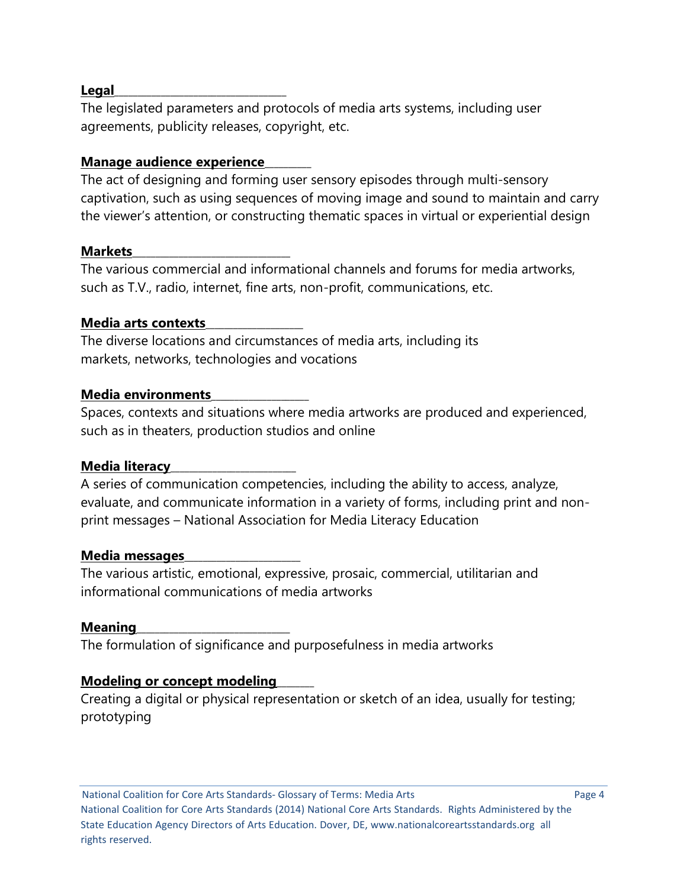#### **Legal**\_\_\_\_\_\_\_\_\_\_\_\_\_\_\_\_\_\_\_\_\_\_\_\_\_\_\_\_\_\_\_\_\_\_\_\_\_

The legislated parameters and protocols of media arts systems, including user agreements, publicity releases, copyright, etc.

## **Manage audience experience**\_\_\_\_\_\_\_\_\_\_

The act of designing and forming user sensory episodes through multi-sensory captivation, such as using sequences of moving image and sound to maintain and carry the viewer's attention, or constructing thematic spaces in virtual or experiential design

#### **Markets**\_\_\_\_\_\_\_\_\_\_\_\_\_\_\_\_\_\_\_\_\_\_\_\_\_\_\_\_\_\_\_\_\_\_

The various commercial and informational channels and forums for media artworks, such as T.V., radio, internet, fine arts, non-profit, communications, etc.

### **Media arts contexts**\_\_\_\_\_\_\_\_\_\_\_\_\_\_\_\_\_\_\_\_\_

The diverse locations and circumstances of media arts, including its markets, networks, technologies and vocations

### **Media environments**\_\_\_\_\_\_\_\_\_\_\_\_\_\_\_\_\_\_\_\_\_

Spaces, contexts and situations where media artworks are produced and experienced, such as in theaters, production studios and online

# **Media literacy**\_\_\_\_\_\_\_\_\_\_\_\_\_\_\_\_\_\_\_\_\_\_\_\_\_\_\_

A series of communication competencies, including the ability to access, analyze, evaluate, and communicate information in a variety of forms, including print and nonprint messages – National Association for Media Literacy Education

#### **Media messages**\_\_\_\_\_\_\_\_\_\_\_\_\_\_\_\_\_\_\_\_\_\_\_\_\_

The various artistic, emotional, expressive, prosaic, commercial, utilitarian and informational communications of media artworks

#### **Meaning**\_\_\_\_\_\_\_\_\_\_\_\_\_\_\_\_\_\_\_\_\_\_\_\_\_\_\_\_\_\_\_\_\_

The formulation of significance and purposefulness in media artworks

# **Modeling or concept modeling**\_\_\_\_\_\_\_\_

Creating a digital or physical representation or sketch of an idea, usually for testing; prototyping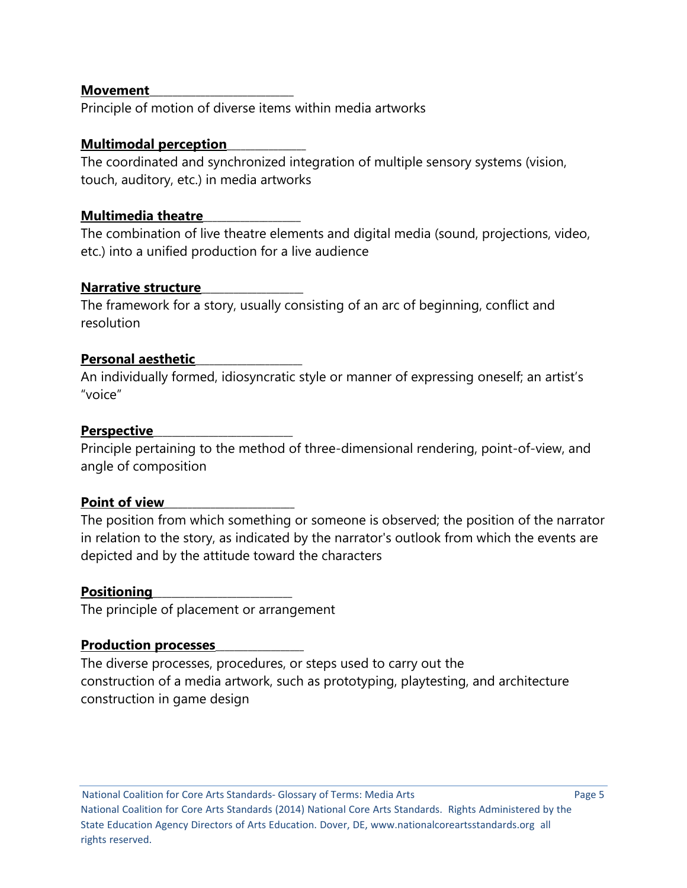#### **Movement**\_\_\_\_\_\_\_\_\_\_\_\_\_\_\_\_\_\_\_\_\_\_\_\_\_\_\_\_\_\_\_

Principle of motion of diverse items within media artworks

# **Multimodal perception**\_\_\_\_\_\_\_\_\_\_\_\_\_\_\_\_\_

The coordinated and synchronized integration of multiple sensory systems (vision, touch, auditory, etc.) in media artworks

## **Multimedia theatre**\_\_\_\_\_\_\_\_\_\_\_\_\_\_\_\_\_\_\_\_\_

The combination of live theatre elements and digital media (sound, projections, video, etc.) into a unified production for a live audience

### **Narrative structure**\_\_\_\_\_\_\_\_\_\_\_\_\_\_\_\_\_\_\_\_\_\_

The framework for a story, usually consisting of an arc of beginning, conflict and resolution

### **Personal aesthetic**\_\_\_\_\_\_\_\_\_\_\_\_\_\_\_\_\_\_\_\_\_\_\_

An individually formed, idiosyncratic style or manner of expressing oneself; an artist's "voice"

#### **Perspective**\_\_\_\_\_\_\_\_\_\_\_\_\_\_\_\_\_\_\_\_\_\_\_\_\_\_\_\_\_\_

Principle pertaining to the method of three-dimensional rendering, point-of-view, and angle of composition

# Point of view

The position from which something or someone is observed; the position of the narrator in relation to the story, as indicated by the narrator's outlook from which the events are depicted and by the attitude toward the characters

#### **Positioning**

The principle of placement or arrangement

#### **Production processes**\_\_\_\_\_\_\_\_\_\_\_\_\_\_\_\_\_\_\_

The diverse processes, procedures, or steps used to carry out the construction of a media artwork, such as prototyping, playtesting, and architecture construction in game design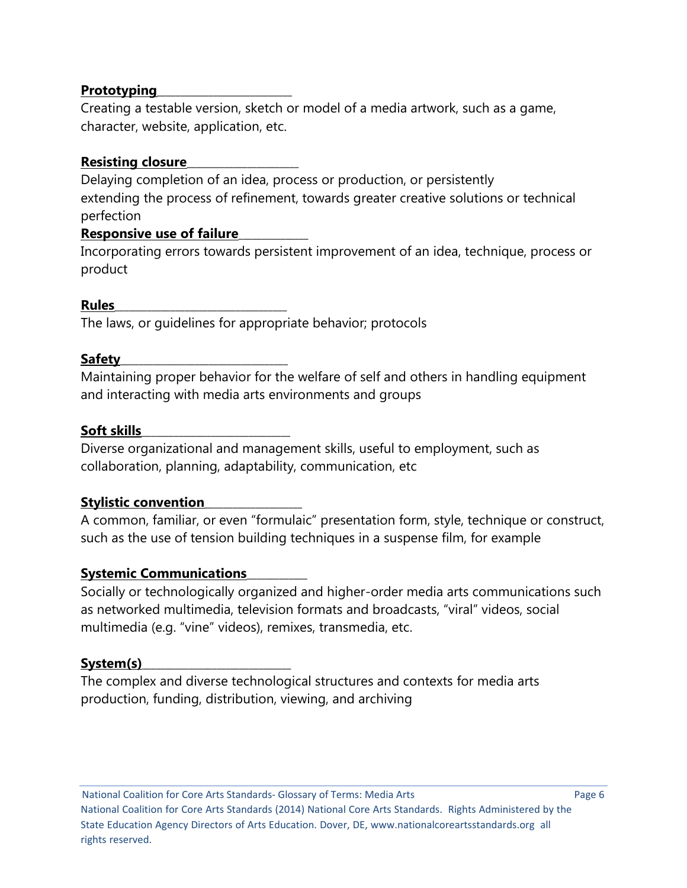# **Prototyping**\_\_\_\_\_\_\_\_\_\_\_\_\_\_\_\_\_\_\_\_\_\_\_\_\_\_\_\_\_

Creating a testable version, sketch or model of a media artwork, such as a game, character, website, application, etc.

# **Resisting closure**\_\_\_\_\_\_\_\_\_\_\_\_\_\_\_\_\_\_\_\_\_\_\_\_

Delaying completion of an idea, process or production, or persistently extending the process of refinement, towards greater creative solutions or technical perfection

# **Responsive use of failure**\_\_\_\_\_\_\_\_\_\_\_\_\_\_\_

Incorporating errors towards persistent improvement of an idea, technique, process or product

# **Rules**\_\_\_\_\_\_\_\_\_\_\_\_\_\_\_\_\_\_\_\_\_\_\_\_\_\_\_\_\_\_\_\_\_\_\_\_\_

The laws, or guidelines for appropriate behavior; protocols

# **Safety**\_\_\_\_\_\_\_\_\_\_\_\_\_\_\_\_\_\_\_\_\_\_\_\_\_\_\_\_\_\_\_\_\_\_\_\_

Maintaining proper behavior for the welfare of self and others in handling equipment and interacting with media arts environments and groups

# **Soft skills**\_\_\_\_\_\_\_\_\_\_\_\_\_\_\_\_\_\_\_\_\_\_\_\_\_\_\_\_\_\_\_\_

Diverse organizational and management skills, useful to employment, such as collaboration, planning, adaptability, communication, etc

# **Stylistic convention**\_\_\_\_\_\_\_\_\_\_\_\_\_\_\_\_\_\_\_\_\_

A common, familiar, or even "formulaic" presentation form, style, technique or construct, such as the use of tension building techniques in a suspense film, for example

# **Systemic Communications**\_\_\_\_\_\_\_\_\_\_\_\_\_

Socially or technologically organized and higher-order media arts communications such as networked multimedia, television formats and broadcasts, "viral" videos, social multimedia (e.g. "vine" videos), remixes, transmedia, etc.

# System(s)

The complex and diverse technological structures and contexts for media arts production, funding, distribution, viewing, and archiving